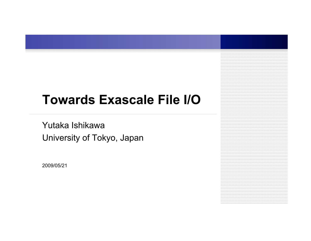# **Towards Exascale File I/O**

Yutaka Ishikawa University of Tokyo, Japan

2009/05/21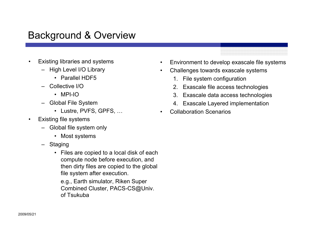#### Background & Overview

- Existing libraries and systems
	- High Level I/O Library
		- Parallel HDF5
	- Collective I/O
		- MPI-IO
	- Global File System
		- Lustre, PVFS, GPFS, …
- **Existing file systems** 
	- Global file system only
		- Most systems
	- Staging
		- Files are copied to a local disk of each compute node before execution, and then dirty files are copied to the global file system after execution.

e.g., Earth simulator, Riken Super Combined Cluster, PACS-CS@Univ. of Tsukuba

- Environment to develop exascale file systems
- Challenges towards exascale systems
	- 1. File system configuration
	- 2. Exascale file access technologies
	- 3. Exascale data access technologies
	- 4. Exascale Layered implementation
- Collaboration Scenarios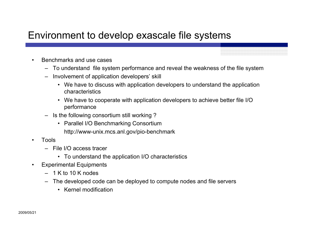#### Environment to develop exascale file systems

- Benchmarks and use cases
	- To understand file system performance and reveal the weakness of the file system
	- Involvement of application developers' skill
		- We have to discuss with application developers to understand the application characteristics
		- We have to cooperate with application developers to achieve better file I/O performance
	- Is the following consortium still working ?
		- Parallel I/O Benchmarking Consortium http://www-unix.mcs.anl.gov/pio-benchmark
- Tools
	- File I/O access tracer
		- To understand the application I/O characteristics
- Experimental Equipments
	- $-1$  K to 10 K nodes
	- The developed code can be deployed to compute nodes and file servers
		- Kernel modification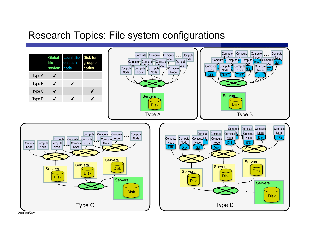## Research Topics: File system configurations



2009/05/21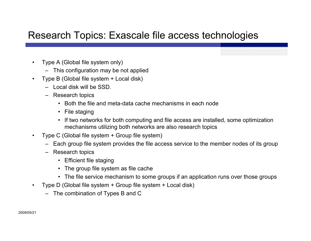## Research Topics: Exascale file access technologies

- Type A (Global file system only)
	- This configuration may be not applied
- Type B (Global file system + Local disk)
	- Local disk will be SSD.
	- Research topics
		- Both the file and meta-data cache mechanisms in each node
		- File staging
		- If two networks for both computing and file access are installed, some optimization mechanisms utilizing both networks are also research topics
- Type C (Global file system + Group file system)
	- Each group file system provides the file access service to the member nodes of its group
	- Research topics
		- Efficient file staging
		- The group file system as file cache
		- The file service mechanism to some groups if an application runs over those groups
- Type D (Global file system + Group file system + Local disk)
	- The combination of Types B and C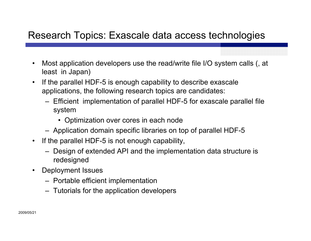## Research Topics: Exascale data access technologies

- Most application developers use the read/write file I/O system calls (, at least in Japan)
- If the parallel HDF-5 is enough capability to describe exascale applications, the following research topics are candidates:
	- Efficient implementation of parallel HDF-5 for exascale parallel file system
		- Optimization over cores in each node
	- Application domain specific libraries on top of parallel HDF-5
- If the parallel HDF-5 is not enough capability,
	- Design of extended API and the implementation data structure is redesigned
- Deployment Issues
	- Portable efficient implementation
	- Tutorials for the application developers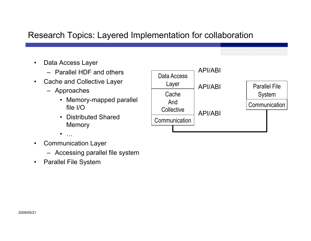#### Research Topics: Layered Implementation for collaboration

- Data Access Layer
	- Parallel HDF and others
- Cache and Collective Layer
	- Approaches
		- Memory-mapped parallel file I/O
		- Distributed Shared **Memory**

Data Access Layer **Cache** And **Collective Communication Communication** Parallel File System API/ABI API/ABI API/ABI

- $\bullet$  …
- Communication Layer
	- Accessing parallel file system
- Parallel File System